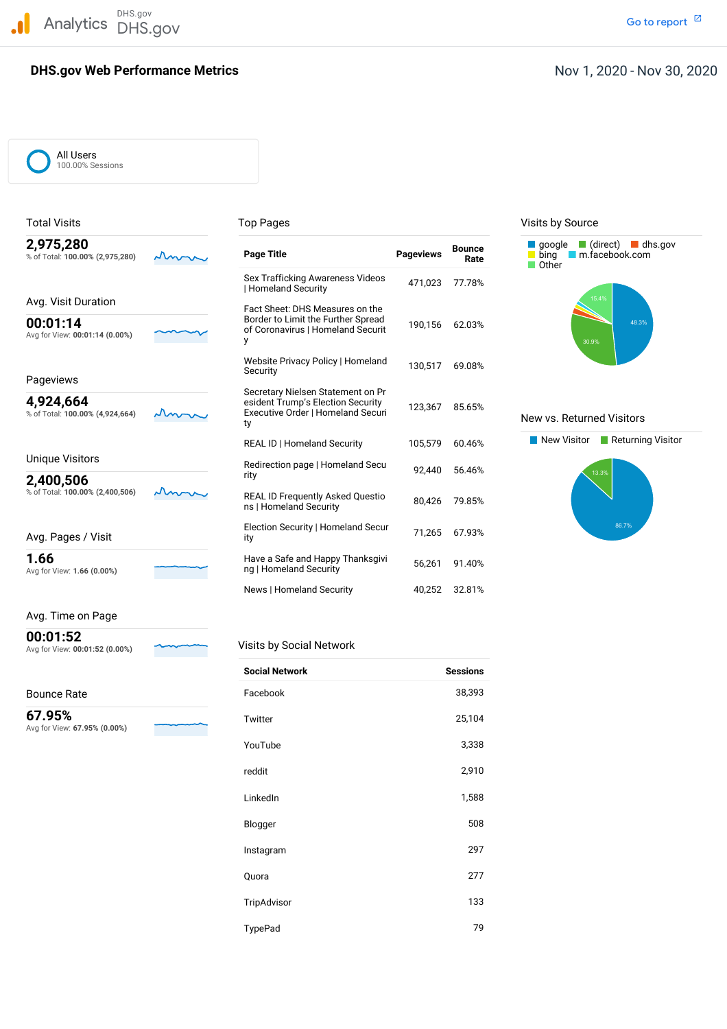DHS.gov Analytics DHS.gov and the contract of the contract of the contract of the contract of the contract of the contract of the contract of the contract of the contract of the contract of the contract of the contract of the cont

# **DHS.gov Web Performance Metrics**

## Nov 1, 2020 - Nov 30, 2020

All Users 100.00% Sessions

| Гotal Visits                                 |  | Top Pages                                                                    |                  | Visits by Source      |                                                                                                     |
|----------------------------------------------|--|------------------------------------------------------------------------------|------------------|-----------------------|-----------------------------------------------------------------------------------------------------|
| 2,975,280<br>% of Total: 100.00% (2,975,280) |  | <b>Page Title</b>                                                            | <b>Pageviews</b> | <b>Bounce</b><br>Rate | $\Box$ (direct) $\Box$ dhs.gov<br><b>d</b> google<br>bing<br>m.facebook.com<br>$\blacksquare$ Other |
|                                              |  | Sex Trafficking Awareness Videos<br><b>Homeland Security</b>                 | 471.023          | 77.78%                |                                                                                                     |
| Avg. Visit Duration                          |  | Fact Sheet: DHS Measures on the                                              |                  |                       | 15.4%                                                                                               |
| 00:01:14<br>Avg for View: 00:01:14 (0.00%)   |  | Border to Limit the Further Spread<br>of Coronavirus   Homeland Securit<br>у | 190,156          | 62.03%                | 48.3%<br>30.9%                                                                                      |
| Pageviews                                    |  | Website Privacy Policy   Homeland<br>Security                                | 130.517          | 69.08%                |                                                                                                     |
|                                              |  | Secretary Nielsen Statement on Pr                                            |                  |                       |                                                                                                     |
| 4,924,664<br>% of Total: 100.00% (4,924,664) |  | esident Trump's Election Security<br>Executive Order   Homeland Securi<br>ty | 123,367          | 85.65%                | New vs. Returned Visitors                                                                           |
|                                              |  | <b>REAL ID   Homeland Security</b>                                           | 105,579          | 60.46%                | New Visitor<br>Returning Visite                                                                     |
| <b>Unique Visitors</b>                       |  | Redirection page   Homeland Secu                                             | 92.440           | 56.46%                |                                                                                                     |
| 2,400,506                                    |  | rity                                                                         |                  |                       | 13.3%                                                                                               |
| % of Total: 100.00% (2,400,506)              |  | <b>REAL ID Frequently Asked Questio</b><br>ns   Homeland Security            | 80,426           | 79.85%                |                                                                                                     |
| Avg. Pages / Visit                           |  | Election Security   Homeland Secur<br>ity                                    | 71,265           | 67.93%                | 86.7%                                                                                               |
| 1.66<br>Avg for View: 1.66 (0.00%)           |  | Have a Safe and Happy Thanksgivi<br>ng   Homeland Security                   | 56,261           | 91.40%                |                                                                                                     |
|                                              |  |                                                                              |                  |                       |                                                                                                     |

#### Avg. Time on Page

**00:01:52**

Bounce Rate

 Avg for View: **67.95% (0.00%) 67.95%**

| --------                       |        |                          |
|--------------------------------|--------|--------------------------|
| Avg for View: 00:01:52 (0.00%) | $\sim$ | Visits by Social Network |

| <b>Social Network</b> | <b>Sessions</b> |
|-----------------------|-----------------|
| Facebook              | 38,393          |
| Twitter               | 25,104          |
| YouTube               | 3,338           |
| reddit                | 2,910           |
| LinkedIn              | 1,588           |
| Blogger               | 508             |
| Instagram             | 297             |
| Quora                 | 277             |
| TripAdvisor           | 133             |
| TypePad               | 79              |

News | Homeland Security 40,252 32.81%

Visits by Source



#### **New vs. Returned Visitors**

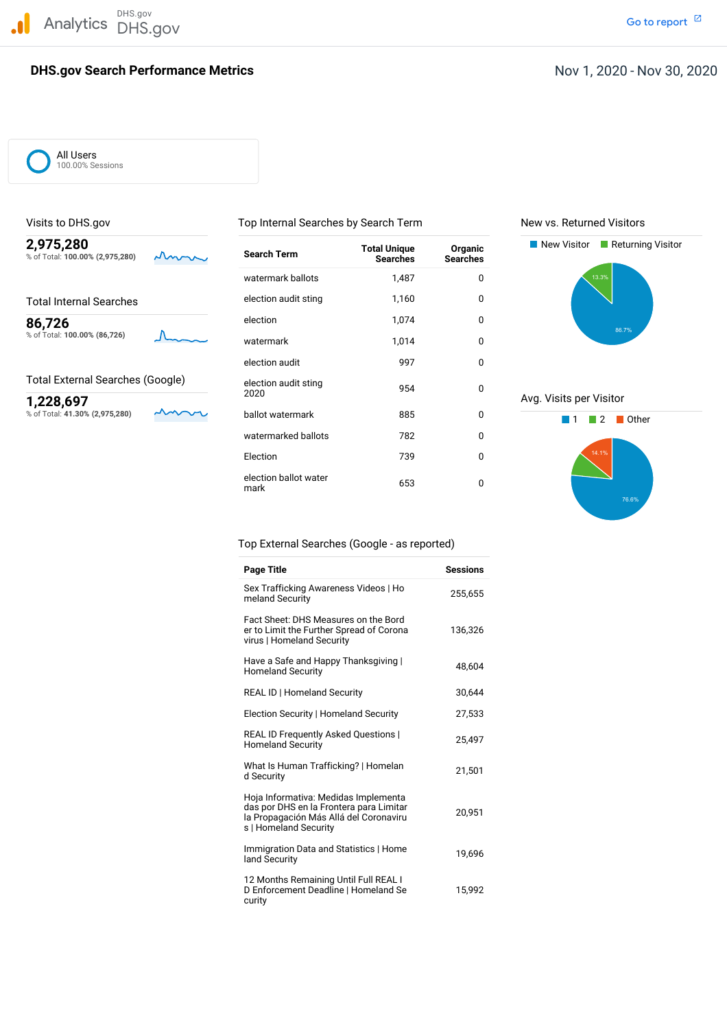DHS.gov Analytics DHS.gov and the contract of the contract of the contract of the contract of the contract of the contract of the contract of the contract of the contract of the contract of the contract of the contract of the cont

### **DHS.gov Search Performance Metrics**

Total External Searches (Google)<br>  $\overline{A}$  and  $\overline{A}$  and audit stingular stingular stingular stingular stingular stingular stingular stingular stingular stingular stingular stingular stingular stingular stingular stingu

Go to report<sup>[2]</sup>

All Users 100.00% Sessions

% of Total: 100.00% (2,975,280)

% of Total: 41.30% (2,975,280)

Visits to DHS.gov Top Internal Searches by Search Term New vs. Returned Visitors

watermark ballots 1,487 0

election audit and 1997 and 1997 and 1997 and 1997 and 1997 and 1997 and 1997 and 1997 and 1997 and 1997 and 1

% of Total: **100.00% (86,726)** watermark 1,014 <sup>0</sup>

Total Internal Searches **Exercise Election** audit sting 1,160 0 **e**lection 1,074 0

election audit sting

election audit sting



1,228,697 **1,228,697** 2020 **2020 1,228,697** 2020



#### Top External Searches (Google - as reported)

election ballot water <sup>653</sup> <sup>0</sup> mark

watermarked ballots 782 0 Election 739 0

| <b>Page Title</b>                                                                                                                                  | <b>Sessions</b> |
|----------------------------------------------------------------------------------------------------------------------------------------------------|-----------------|
| Sex Trafficking Awareness Videos   Ho<br>meland Security                                                                                           | 255,655         |
| Fact Sheet: DHS Measures on the Bord<br>er to Limit the Further Spread of Corona<br>virus   Homeland Security                                      | 136,326         |
| Have a Safe and Happy Thanksgiving  <br><b>Homeland Security</b>                                                                                   | 48,604          |
| REAL ID   Homeland Security                                                                                                                        | 30,644          |
| Election Security   Homeland Security                                                                                                              | 27,533          |
| <b>REAL ID Frequently Asked Questions  </b><br><b>Homeland Security</b>                                                                            | 25,497          |
| What Is Human Trafficking?   Homelan<br>d Security                                                                                                 | 21,501          |
| Hoja Informativa: Medidas Implementa<br>das por DHS en la Frontera para Limitar<br>la Propagación Más Allá del Coronaviru<br>s   Homeland Security | 20,951          |
| Immigration Data and Statistics   Home<br>land Security                                                                                            | 19.696          |
| 12 Months Remaining Until Full REAL I<br>D Enforcement Deadline   Homeland Se<br>curity                                                            | 15.992          |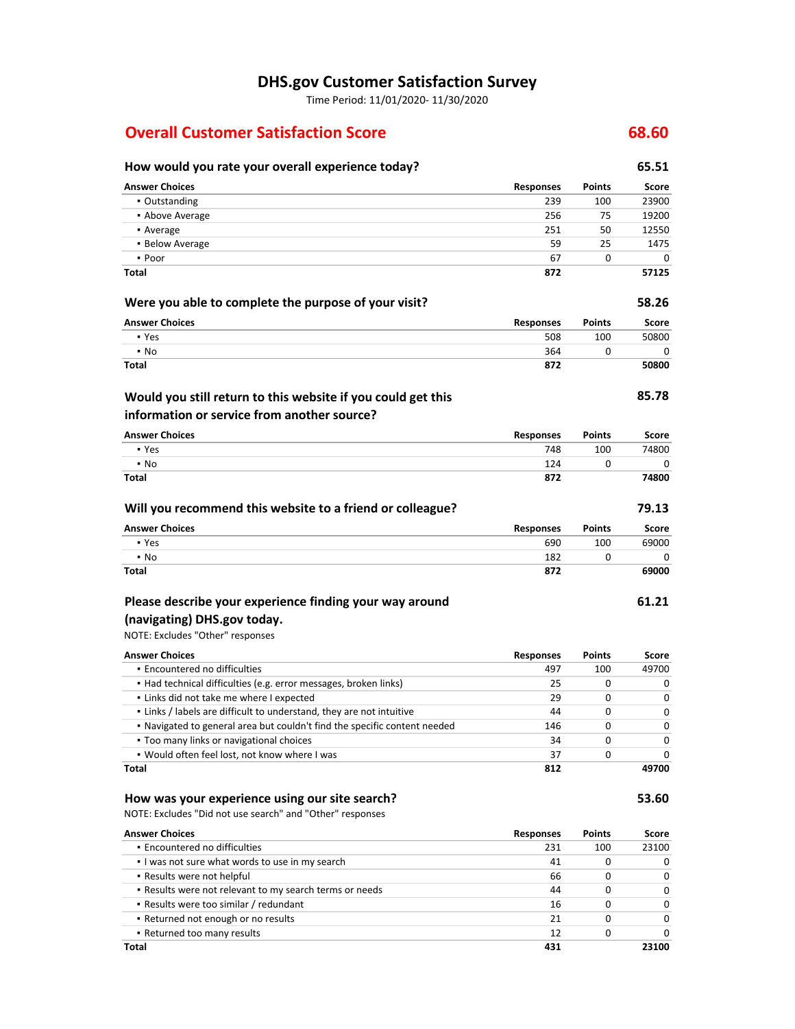# **DHS.gov Customer Satisfaction Survey**

Time Period: 11/01/2020‐ 11/30/2020

# **Overall Customer Satisfaction Score 68.60**

 ▪ Results were too similar / redundant **Returned not enough or no results** ▪ Returned too many results

**Total**

| How would you rate your overall experience today?                         |                  |               | 65.51        |
|---------------------------------------------------------------------------|------------------|---------------|--------------|
| <b>Answer Choices</b>                                                     | <b>Responses</b> | <b>Points</b> | Score        |
| • Outstanding                                                             | 239              | 100           | 23900        |
| • Above Average                                                           | 256              | 75            | 19200        |
| • Average                                                                 | 251              | 50            | 12550        |
| • Below Average                                                           | 59               | 25            | 1475         |
| • Poor                                                                    | 67               | 0             | 0            |
| Total                                                                     | 872              |               | 57125        |
| Were you able to complete the purpose of your visit?                      |                  |               | 58.26        |
| <b>Answer Choices</b>                                                     | <b>Responses</b> | <b>Points</b> | <b>Score</b> |
| • Yes                                                                     | 508              | 100           | 50800        |
| $\cdot$ No                                                                | 364              | 0             | 0            |
| Total                                                                     | 872              |               | 50800        |
| Would you still return to this website if you could get this              |                  |               | 85.78        |
| information or service from another source?                               |                  |               |              |
| <b>Answer Choices</b>                                                     | Responses        | Points        | Score        |
| • Yes                                                                     | 748              | 100           | 74800        |
| $\cdot$ No                                                                | 124              | 0             | 0            |
| <b>Total</b>                                                              | 872              |               | 74800        |
| Will you recommend this website to a friend or colleague?                 |                  |               | 79.13        |
| <b>Answer Choices</b>                                                     | Responses        | Points        | <b>Score</b> |
| • Yes                                                                     | 690              | 100           | 69000        |
| $\cdot$ No                                                                | 182              | 0             | 0            |
| <b>Total</b>                                                              | 872              |               | 69000        |
| Please describe your experience finding your way around                   |                  |               | 61.21        |
| (navigating) DHS.gov today.                                               |                  |               |              |
| NOTE: Excludes "Other" responses                                          |                  |               |              |
| <b>Answer Choices</b>                                                     | Responses        | Points        | Score        |
| • Encountered no difficulties                                             | 497              | 100           | 49700        |
| • Had technical difficulties (e.g. error messages, broken links)          | 25               | 0             | 0            |
| . Links did not take me where I expected                                  | 29               | 0             | 0            |
| . Links / labels are difficult to understand, they are not intuitive      | 44               | 0             | 0            |
| . Navigated to general area but couldn't find the specific content needed | 146              | 0             | 0            |
| . Too many links or navigational choices                                  | 34               | 0             | 0            |
| . Would often feel lost, not know where I was                             | 37               | 0             | 0            |
| <b>Total</b>                                                              | 812              |               | 49700        |
| How was your experience using our site search?                            |                  |               | 53.60        |
| NOTE: Excludes "Did not use search" and "Other" responses                 |                  |               |              |
| <b>Answer Choices</b>                                                     | <b>Responses</b> | <b>Points</b> | Score        |
| · Encountered no difficulties                                             | 231              | 100           | 23100        |
| . I was not sure what words to use in my search                           | 41               | 0             | 0            |
| . Results were not helpful                                                | 66               | 0             | 0            |
| . Results were not relevant to my search terms or needs                   | 44               | 0             | 0            |

0 0 0